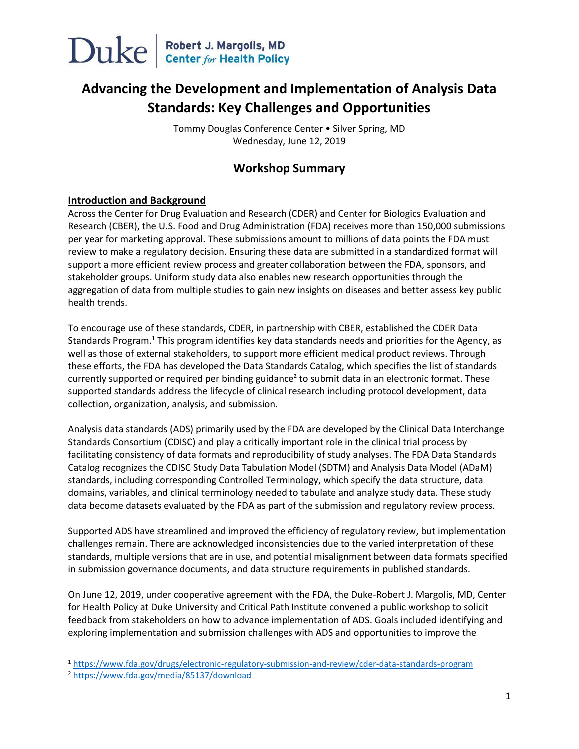

### **Advancing the Development and Implementation of Analysis Data Standards: Key Challenges and Opportunities**

Tommy Douglas Conference Center • Silver Spring, MD Wednesday, June 12, 2019

#### **Workshop Summary**

#### **Introduction and Background**

Across the Center for Drug Evaluation and Research (CDER) and Center for Biologics Evaluation and Research (CBER), the U.S. Food and Drug Administration (FDA) receives more than 150,000 submissions per year for marketing approval. These submissions amount to millions of data points the FDA must review to make a regulatory decision. Ensuring these data are submitted in a standardized format will support a more efficient review process and greater collaboration between the FDA, sponsors, and stakeholder groups. Uniform study data also enables new research opportunities through the aggregation of data from multiple studies to gain new insights on diseases and better assess key public health trends.

To encourage use of these standards, CDER, in partnership with CBER, established the CDER Data Standards Program.<sup>1</sup> This program identifies key data standards needs and priorities for the Agency, as well as those of external stakeholders, to support more efficient medical product reviews. Through these efforts, the FDA has developed the Data Standards Catalog, which specifies the list of standards currently supported or required per binding guidance<sup>2</sup> to submit data in an electronic format. These supported standards address the lifecycle of clinical research including protocol development, data collection, organization, analysis, and submission.

Analysis data standards (ADS) primarily used by the FDA are developed by the Clinical Data Interchange Standards Consortium (CDISC) and play a critically important role in the clinical trial process by facilitating consistency of data formats and reproducibility of study analyses. The FDA Data Standards Catalog recognizes the CDISC Study Data Tabulation Model (SDTM) and Analysis Data Model (ADaM) standards, including corresponding Controlled Terminology, which specify the data structure, data domains, variables, and clinical terminology needed to tabulate and analyze study data. These study data become datasets evaluated by the FDA as part of the submission and regulatory review process.

Supported ADS have streamlined and improved the efficiency of regulatory review, but implementation challenges remain. There are acknowledged inconsistencies due to the varied interpretation of these standards, multiple versions that are in use, and potential misalignment between data formats specified in submission governance documents, and data structure requirements in published standards.

On June 12, 2019, under cooperative agreement with the FDA, the Duke-Robert J. Margolis, MD, Center for Health Policy at Duke University and Critical Path Institute convened a public workshop to solicit feedback from stakeholders on how to advance implementation of ADS. Goals included identifying and exploring implementation and submission challenges with ADS and opportunities to improve the

 $\overline{\phantom{a}}$ 

<sup>1</sup> <https://www.fda.gov/drugs/electronic-regulatory-submission-and-review/cder-data-standards-program>

<sup>2</sup> <https://www.fda.gov/media/85137/download>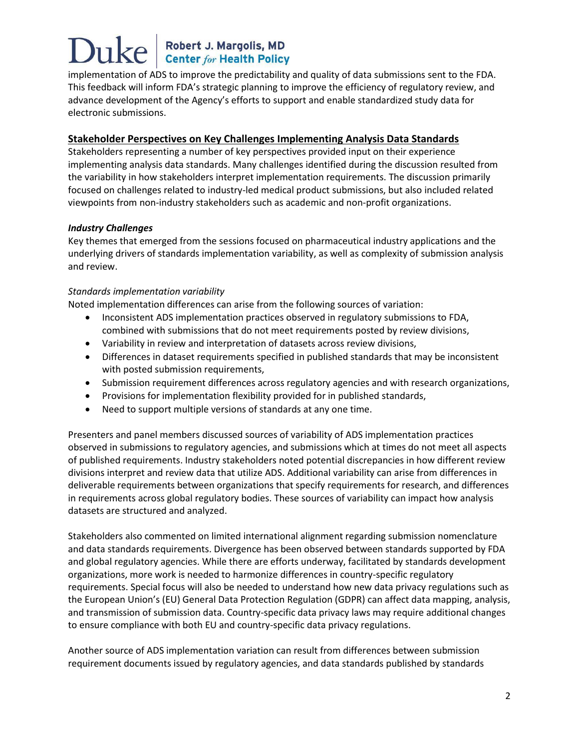implementation of ADS to improve the predictability and quality of data submissions sent to the FDA. This feedback will inform FDA's strategic planning to improve the efficiency of regulatory review, and advance development of the Agency's efforts to support and enable standardized study data for electronic submissions.

#### **Stakeholder Perspectives on Key Challenges Implementing Analysis Data Standards**

Stakeholders representing a number of key perspectives provided input on their experience implementing analysis data standards. Many challenges identified during the discussion resulted from the variability in how stakeholders interpret implementation requirements. The discussion primarily focused on challenges related to industry-led medical product submissions, but also included related viewpoints from non-industry stakeholders such as academic and non-profit organizations.

#### *Industry Challenges*

Key themes that emerged from the sessions focused on pharmaceutical industry applications and the underlying drivers of standards implementation variability, as well as complexity of submission analysis and review.

#### *Standards implementation variability*

Noted implementation differences can arise from the following sources of variation:

- Inconsistent ADS implementation practices observed in regulatory submissions to FDA, combined with submissions that do not meet requirements posted by review divisions,
- Variability in review and interpretation of datasets across review divisions,
- Differences in dataset requirements specified in published standards that may be inconsistent with posted submission requirements,
- Submission requirement differences across regulatory agencies and with research organizations,
- Provisions for implementation flexibility provided for in published standards,
- Need to support multiple versions of standards at any one time.

Presenters and panel members discussed sources of variability of ADS implementation practices observed in submissions to regulatory agencies, and submissions which at times do not meet all aspects of published requirements. Industry stakeholders noted potential discrepancies in how different review divisions interpret and review data that utilize ADS. Additional variability can arise from differences in deliverable requirements between organizations that specify requirements for research, and differences in requirements across global regulatory bodies. These sources of variability can impact how analysis datasets are structured and analyzed.

Stakeholders also commented on limited international alignment regarding submission nomenclature and data standards requirements. Divergence has been observed between standards supported by FDA and global regulatory agencies. While there are efforts underway, facilitated by standards development organizations, more work is needed to harmonize differences in country-specific regulatory requirements. Special focus will also be needed to understand how new data privacy regulations such as the European Union's (EU) General Data Protection Regulation (GDPR) can affect data mapping, analysis, and transmission of submission data. Country-specific data privacy laws may require additional changes to ensure compliance with both EU and country-specific data privacy regulations.

Another source of ADS implementation variation can result from differences between submission requirement documents issued by regulatory agencies, and data standards published by standards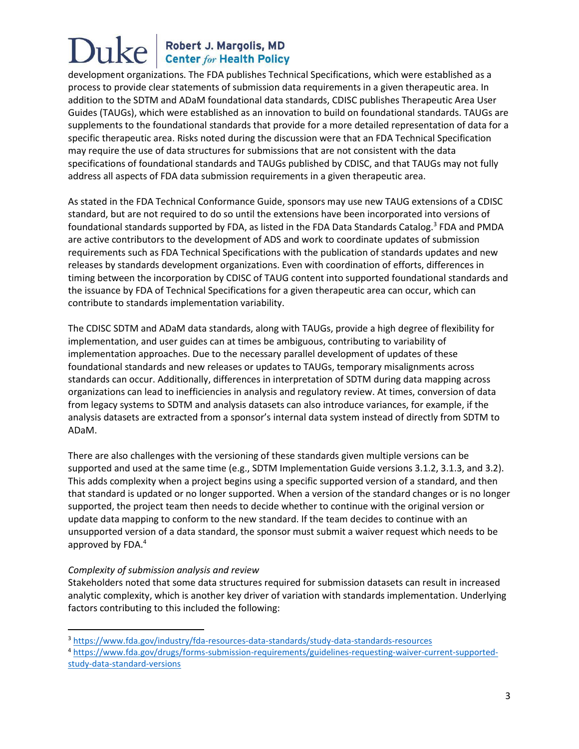development organizations. The FDA publishes Technical Specifications, which were established as a process to provide clear statements of submission data requirements in a given therapeutic area. In addition to the SDTM and ADaM foundational data standards, CDISC publishes Therapeutic Area User Guides (TAUGs), which were established as an innovation to build on foundational standards. TAUGs are supplements to the foundational standards that provide for a more detailed representation of data for a specific therapeutic area. Risks noted during the discussion were that an FDA Technical Specification may require the use of data structures for submissions that are not consistent with the data specifications of foundational standards and TAUGs published by CDISC, and that TAUGs may not fully address all aspects of FDA data submission requirements in a given therapeutic area.

As stated in the FDA Technical Conformance Guide, sponsors may use new TAUG extensions of a CDISC standard, but are not required to do so until the extensions have been incorporated into versions of foundational standards supported by FDA, as listed in the FDA Data Standards Catalog.<sup>3</sup> FDA and PMDA are active contributors to the development of ADS and work to coordinate updates of submission requirements such as FDA Technical Specifications with the publication of standards updates and new releases by standards development organizations. Even with coordination of efforts, differences in timing between the incorporation by CDISC of TAUG content into supported foundational standards and the issuance by FDA of Technical Specifications for a given therapeutic area can occur, which can contribute to standards implementation variability.

The CDISC SDTM and ADaM data standards, along with TAUGs, provide a high degree of flexibility for implementation, and user guides can at times be ambiguous, contributing to variability of implementation approaches. Due to the necessary parallel development of updates of these foundational standards and new releases or updates to TAUGs, temporary misalignments across standards can occur. Additionally, differences in interpretation of SDTM during data mapping across organizations can lead to inefficiencies in analysis and regulatory review. At times, conversion of data from legacy systems to SDTM and analysis datasets can also introduce variances, for example, if the analysis datasets are extracted from a sponsor's internal data system instead of directly from SDTM to ADaM.

There are also challenges with the versioning of these standards given multiple versions can be supported and used at the same time (e.g., SDTM Implementation Guide versions 3.1.2, 3.1.3, and 3.2). This adds complexity when a project begins using a specific supported version of a standard, and then that standard is updated or no longer supported. When a version of the standard changes or is no longer supported, the project team then needs to decide whether to continue with the original version or update data mapping to conform to the new standard. If the team decides to continue with an unsupported version of a data standard, the sponsor must submit a waiver request which needs to be approved by FDA.<sup>4</sup>

#### *Complexity of submission analysis and review*

l

Stakeholders noted that some data structures required for submission datasets can result in increased analytic complexity, which is another key driver of variation with standards implementation. Underlying factors contributing to this included the following:

<sup>3</sup> <https://www.fda.gov/industry/fda-resources-data-standards/study-data-standards-resources>

<sup>4</sup> [https://www.fda.gov/drugs/forms-submission-requirements/guidelines-requesting-waiver-current-supported](https://www.fda.gov/drugs/forms-submission-requirements/guidelines-requesting-waiver-current-supported-study-data-standard-versions)[study-data-standard-versions](https://www.fda.gov/drugs/forms-submission-requirements/guidelines-requesting-waiver-current-supported-study-data-standard-versions)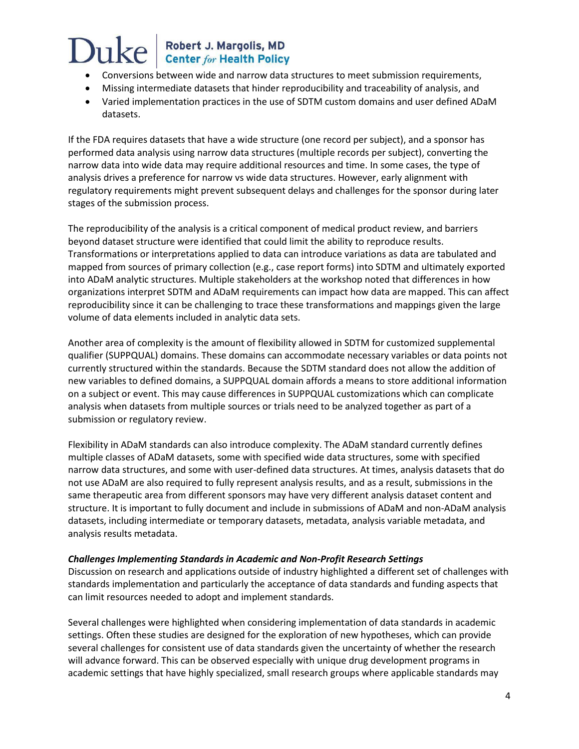# Duke

## Robert J. Margolis, MD<br>Center for Health Policy

- Conversions between wide and narrow data structures to meet submission requirements,
- Missing intermediate datasets that hinder reproducibility and traceability of analysis, and
- Varied implementation practices in the use of SDTM custom domains and user defined ADaM datasets.

If the FDA requires datasets that have a wide structure (one record per subject), and a sponsor has performed data analysis using narrow data structures (multiple records per subject), converting the narrow data into wide data may require additional resources and time. In some cases, the type of analysis drives a preference for narrow vs wide data structures. However, early alignment with regulatory requirements might prevent subsequent delays and challenges for the sponsor during later stages of the submission process.

The reproducibility of the analysis is a critical component of medical product review, and barriers beyond dataset structure were identified that could limit the ability to reproduce results. Transformations or interpretations applied to data can introduce variations as data are tabulated and mapped from sources of primary collection (e.g., case report forms) into SDTM and ultimately exported into ADaM analytic structures. Multiple stakeholders at the workshop noted that differences in how organizations interpret SDTM and ADaM requirements can impact how data are mapped. This can affect reproducibility since it can be challenging to trace these transformations and mappings given the large volume of data elements included in analytic data sets.

Another area of complexity is the amount of flexibility allowed in SDTM for customized supplemental qualifier (SUPPQUAL) domains. These domains can accommodate necessary variables or data points not currently structured within the standards. Because the SDTM standard does not allow the addition of new variables to defined domains, a SUPPQUAL domain affords a means to store additional information on a subject or event. This may cause differences in SUPPQUAL customizations which can complicate analysis when datasets from multiple sources or trials need to be analyzed together as part of a submission or regulatory review.

Flexibility in ADaM standards can also introduce complexity. The ADaM standard currently defines multiple classes of ADaM datasets, some with specified wide data structures, some with specified narrow data structures, and some with user-defined data structures. At times, analysis datasets that do not use ADaM are also required to fully represent analysis results, and as a result, submissions in the same therapeutic area from different sponsors may have very different analysis dataset content and structure. It is important to fully document and include in submissions of ADaM and non-ADaM analysis datasets, including intermediate or temporary datasets, metadata, analysis variable metadata, and analysis results metadata.

#### *Challenges Implementing Standards in Academic and Non-Profit Research Settings*

Discussion on research and applications outside of industry highlighted a different set of challenges with standards implementation and particularly the acceptance of data standards and funding aspects that can limit resources needed to adopt and implement standards.

Several challenges were highlighted when considering implementation of data standards in academic settings. Often these studies are designed for the exploration of new hypotheses, which can provide several challenges for consistent use of data standards given the uncertainty of whether the research will advance forward. This can be observed especially with unique drug development programs in academic settings that have highly specialized, small research groups where applicable standards may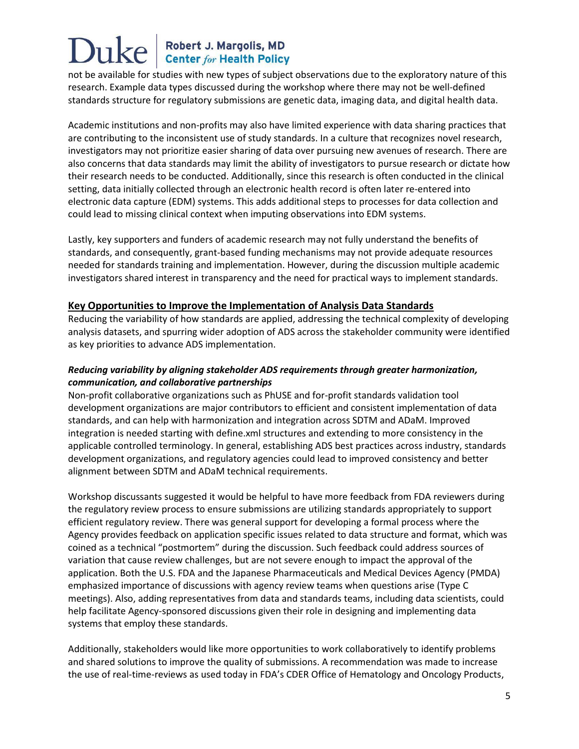not be available for studies with new types of subject observations due to the exploratory nature of this research. Example data types discussed during the workshop where there may not be well-defined standards structure for regulatory submissions are genetic data, imaging data, and digital health data.

Academic institutions and non-profits may also have limited experience with data sharing practices that are contributing to the inconsistent use of study standards. In a culture that recognizes novel research, investigators may not prioritize easier sharing of data over pursuing new avenues of research. There are also concerns that data standards may limit the ability of investigators to pursue research or dictate how their research needs to be conducted. Additionally, since this research is often conducted in the clinical setting, data initially collected through an electronic health record is often later re-entered into electronic data capture (EDM) systems. This adds additional steps to processes for data collection and could lead to missing clinical context when imputing observations into EDM systems.

Lastly, key supporters and funders of academic research may not fully understand the benefits of standards, and consequently, grant-based funding mechanisms may not provide adequate resources needed for standards training and implementation. However, during the discussion multiple academic investigators shared interest in transparency and the need for practical ways to implement standards.

#### **Key Opportunities to Improve the Implementation of Analysis Data Standards**

Reducing the variability of how standards are applied, addressing the technical complexity of developing analysis datasets, and spurring wider adoption of ADS across the stakeholder community were identified as key priorities to advance ADS implementation.

#### *Reducing variability by aligning stakeholder ADS requirements through greater harmonization, communication, and collaborative partnerships*

Non-profit collaborative organizations such as PhUSE and for-profit standards validation tool development organizations are major contributors to efficient and consistent implementation of data standards, and can help with harmonization and integration across SDTM and ADaM. Improved integration is needed starting with define.xml structures and extending to more consistency in the applicable controlled terminology. In general, establishing ADS best practices across industry, standards development organizations, and regulatory agencies could lead to improved consistency and better alignment between SDTM and ADaM technical requirements.

Workshop discussants suggested it would be helpful to have more feedback from FDA reviewers during the regulatory review process to ensure submissions are utilizing standards appropriately to support efficient regulatory review. There was general support for developing a formal process where the Agency provides feedback on application specific issues related to data structure and format, which was coined as a technical "postmortem" during the discussion. Such feedback could address sources of variation that cause review challenges, but are not severe enough to impact the approval of the application. Both the U.S. FDA and the Japanese Pharmaceuticals and Medical Devices Agency (PMDA) emphasized importance of discussions with agency review teams when questions arise (Type C meetings). Also, adding representatives from data and standards teams, including data scientists, could help facilitate Agency-sponsored discussions given their role in designing and implementing data systems that employ these standards.

Additionally, stakeholders would like more opportunities to work collaboratively to identify problems and shared solutions to improve the quality of submissions. A recommendation was made to increase the use of real-time-reviews as used today in FDA's CDER Office of Hematology and Oncology Products,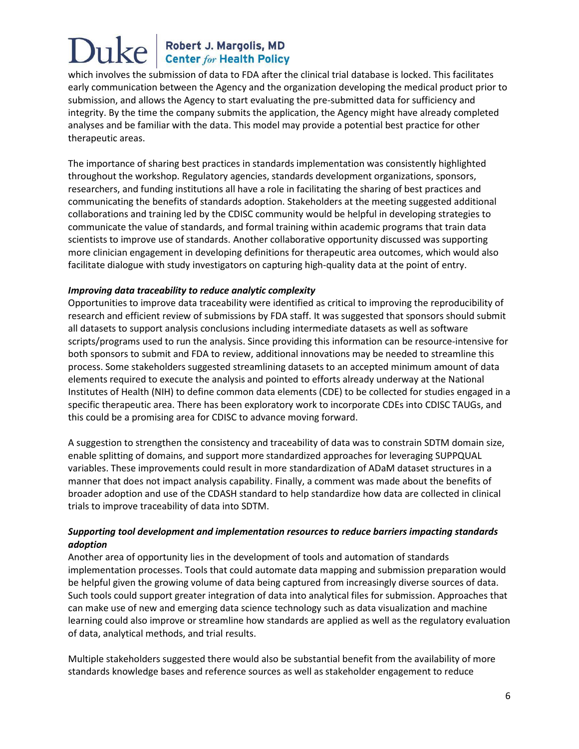which involves the submission of data to FDA after the clinical trial database is locked. This facilitates early communication between the Agency and the organization developing the medical product prior to submission, and allows the Agency to start evaluating the pre-submitted data for sufficiency and integrity. By the time the company submits the application, the Agency might have already completed analyses and be familiar with the data. This model may provide a potential best practice for other therapeutic areas.

The importance of sharing best practices in standards implementation was consistently highlighted throughout the workshop. Regulatory agencies, standards development organizations, sponsors, researchers, and funding institutions all have a role in facilitating the sharing of best practices and communicating the benefits of standards adoption. Stakeholders at the meeting suggested additional collaborations and training led by the CDISC community would be helpful in developing strategies to communicate the value of standards, and formal training within academic programs that train data scientists to improve use of standards. Another collaborative opportunity discussed was supporting more clinician engagement in developing definitions for therapeutic area outcomes, which would also facilitate dialogue with study investigators on capturing high-quality data at the point of entry.

#### *Improving data traceability to reduce analytic complexity*

Opportunities to improve data traceability were identified as critical to improving the reproducibility of research and efficient review of submissions by FDA staff. It was suggested that sponsors should submit all datasets to support analysis conclusions including intermediate datasets as well as software scripts/programs used to run the analysis. Since providing this information can be resource-intensive for both sponsors to submit and FDA to review, additional innovations may be needed to streamline this process. Some stakeholders suggested streamlining datasets to an accepted minimum amount of data elements required to execute the analysis and pointed to efforts already underway at the National Institutes of Health (NIH) to define common data elements (CDE) to be collected for studies engaged in a specific therapeutic area. There has been exploratory work to incorporate CDEs into CDISC TAUGs, and this could be a promising area for CDISC to advance moving forward.

A suggestion to strengthen the consistency and traceability of data was to constrain SDTM domain size, enable splitting of domains, and support more standardized approaches for leveraging SUPPQUAL variables. These improvements could result in more standardization of ADaM dataset structures in a manner that does not impact analysis capability. Finally, a comment was made about the benefits of broader adoption and use of the CDASH standard to help standardize how data are collected in clinical trials to improve traceability of data into SDTM.

#### *Supporting tool development and implementation resources to reduce barriers impacting standards adoption*

Another area of opportunity lies in the development of tools and automation of standards implementation processes. Tools that could automate data mapping and submission preparation would be helpful given the growing volume of data being captured from increasingly diverse sources of data. Such tools could support greater integration of data into analytical files for submission. Approaches that can make use of new and emerging data science technology such as data visualization and machine learning could also improve or streamline how standards are applied as well as the regulatory evaluation of data, analytical methods, and trial results.

Multiple stakeholders suggested there would also be substantial benefit from the availability of more standards knowledge bases and reference sources as well as stakeholder engagement to reduce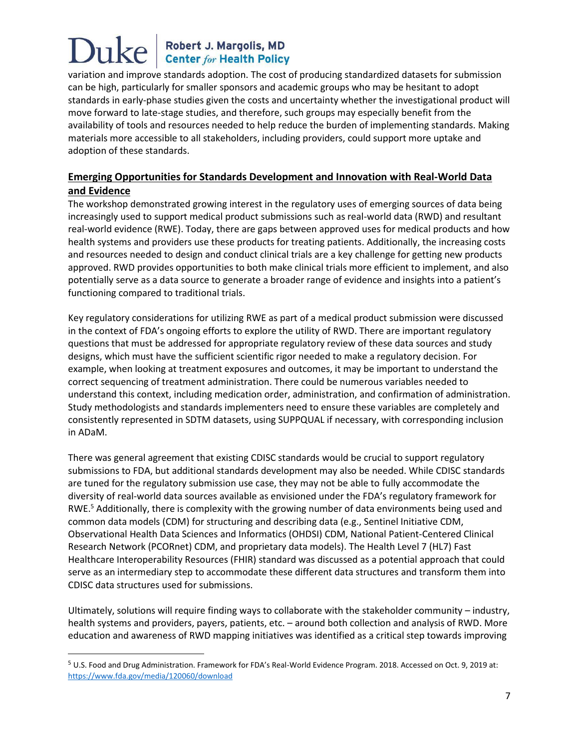variation and improve standards adoption. The cost of producing standardized datasets for submission can be high, particularly for smaller sponsors and academic groups who may be hesitant to adopt standards in early-phase studies given the costs and uncertainty whether the investigational product will move forward to late-stage studies, and therefore, such groups may especially benefit from the availability of tools and resources needed to help reduce the burden of implementing standards. Making materials more accessible to all stakeholders, including providers, could support more uptake and adoption of these standards.

#### **Emerging Opportunities for Standards Development and Innovation with Real-World Data and Evidence**

The workshop demonstrated growing interest in the regulatory uses of emerging sources of data being increasingly used to support medical product submissions such as real-world data (RWD) and resultant real-world evidence (RWE). Today, there are gaps between approved uses for medical products and how health systems and providers use these products for treating patients. Additionally, the increasing costs and resources needed to design and conduct clinical trials are a key challenge for getting new products approved. RWD provides opportunities to both make clinical trials more efficient to implement, and also potentially serve as a data source to generate a broader range of evidence and insights into a patient's functioning compared to traditional trials.

Key regulatory considerations for utilizing RWE as part of a medical product submission were discussed in the context of FDA's ongoing efforts to explore the utility of RWD. There are important regulatory questions that must be addressed for appropriate regulatory review of these data sources and study designs, which must have the sufficient scientific rigor needed to make a regulatory decision. For example, when looking at treatment exposures and outcomes, it may be important to understand the correct sequencing of treatment administration. There could be numerous variables needed to understand this context, including medication order, administration, and confirmation of administration. Study methodologists and standards implementers need to ensure these variables are completely and consistently represented in SDTM datasets, using SUPPQUAL if necessary, with corresponding inclusion in ADaM.

There was general agreement that existing CDISC standards would be crucial to support regulatory submissions to FDA, but additional standards development may also be needed. While CDISC standards are tuned for the regulatory submission use case, they may not be able to fully accommodate the diversity of real-world data sources available as envisioned under the FDA's regulatory framework for RWE.<sup>5</sup> Additionally, there is complexity with the growing number of data environments being used and common data models (CDM) for structuring and describing data (e.g., Sentinel Initiative CDM, Observational Health Data Sciences and Informatics (OHDSI) CDM, National Patient-Centered Clinical Research Network (PCORnet) CDM, and proprietary data models). The Health Level 7 (HL7) Fast Healthcare Interoperability Resources (FHIR) standard was discussed as a potential approach that could serve as an intermediary step to accommodate these different data structures and transform them into CDISC data structures used for submissions.

Ultimately, solutions will require finding ways to collaborate with the stakeholder community – industry, health systems and providers, payers, patients, etc. – around both collection and analysis of RWD. More education and awareness of RWD mapping initiatives was identified as a critical step towards improving

 $\overline{\phantom{a}}$ 

<sup>5</sup> U.S. Food and Drug Administration. Framework for FDA's Real-World Evidence Program. 2018. Accessed on Oct. 9, 2019 at: <https://www.fda.gov/media/120060/download>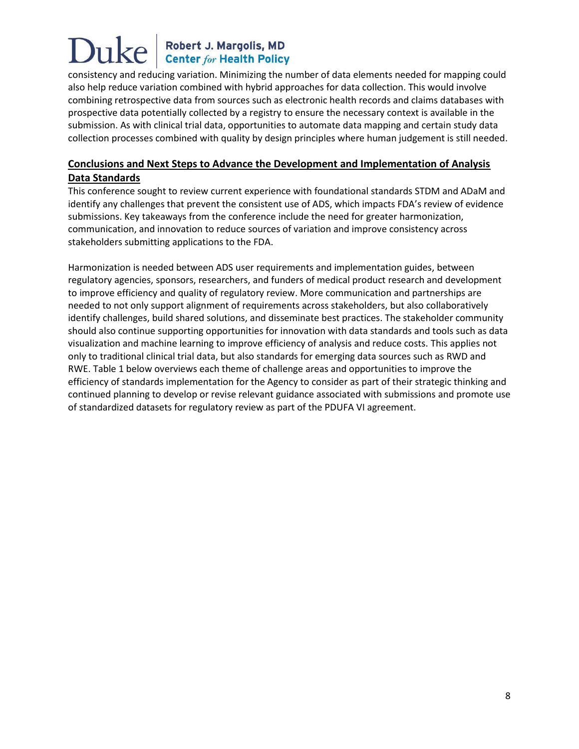consistency and reducing variation. Minimizing the number of data elements needed for mapping could also help reduce variation combined with hybrid approaches for data collection. This would involve combining retrospective data from sources such as electronic health records and claims databases with prospective data potentially collected by a registry to ensure the necessary context is available in the submission. As with clinical trial data, opportunities to automate data mapping and certain study data collection processes combined with quality by design principles where human judgement is still needed.

#### **Conclusions and Next Steps to Advance the Development and Implementation of Analysis Data Standards**

This conference sought to review current experience with foundational standards STDM and ADaM and identify any challenges that prevent the consistent use of ADS, which impacts FDA's review of evidence submissions. Key takeaways from the conference include the need for greater harmonization, communication, and innovation to reduce sources of variation and improve consistency across stakeholders submitting applications to the FDA.

Harmonization is needed between ADS user requirements and implementation guides, between regulatory agencies, sponsors, researchers, and funders of medical product research and development to improve efficiency and quality of regulatory review. More communication and partnerships are needed to not only support alignment of requirements across stakeholders, but also collaboratively identify challenges, build shared solutions, and disseminate best practices. The stakeholder community should also continue supporting opportunities for innovation with data standards and tools such as data visualization and machine learning to improve efficiency of analysis and reduce costs. This applies not only to traditional clinical trial data, but also standards for emerging data sources such as RWD and RWE. Table 1 below overviews each theme of challenge areas and opportunities to improve the efficiency of standards implementation for the Agency to consider as part of their strategic thinking and continued planning to develop or revise relevant guidance associated with submissions and promote use of standardized datasets for regulatory review as part of the PDUFA VI agreement.